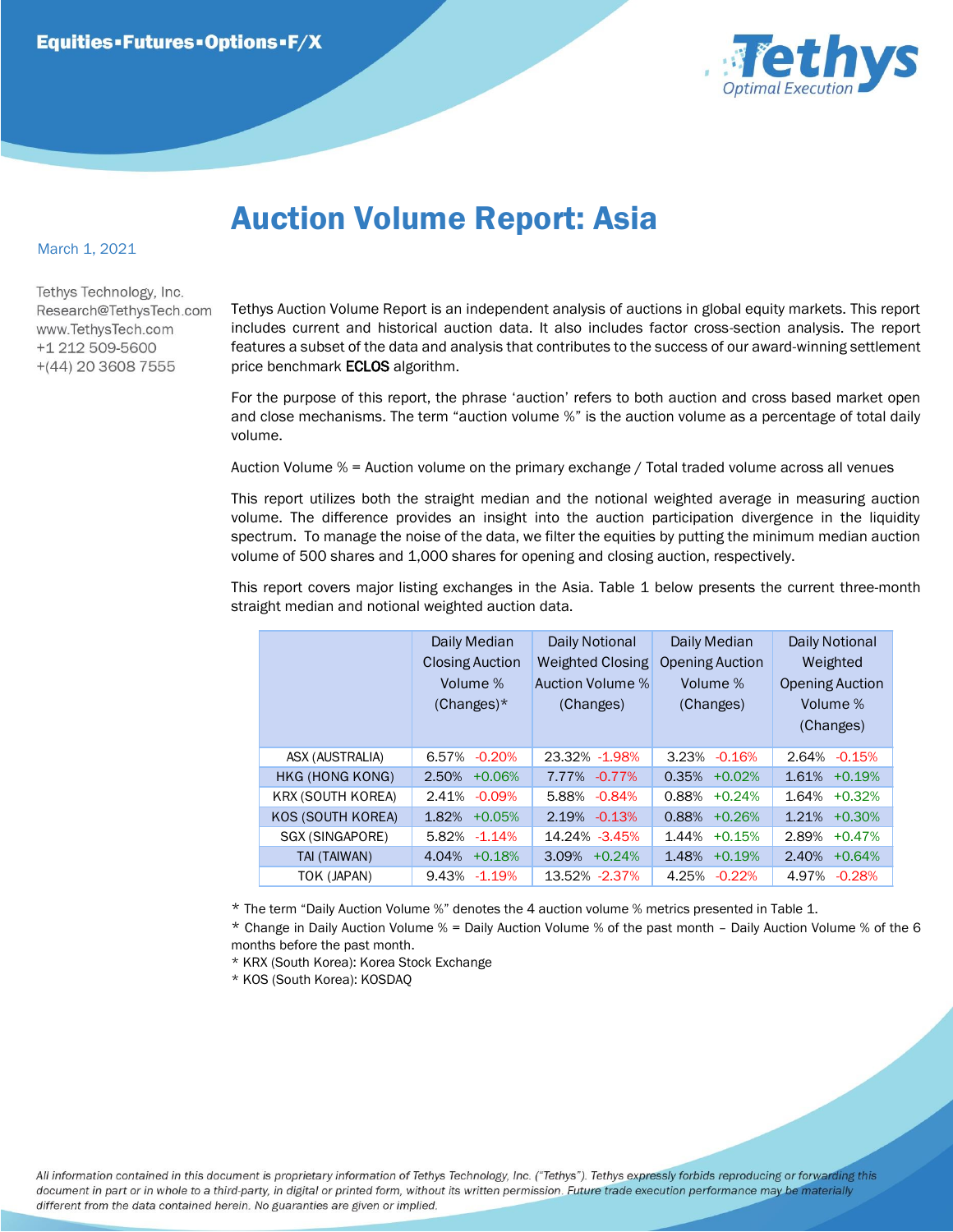

## Auction Volume Report: Asia

## March 1, 2021

Tethys Technology, Inc. Research@TethysTech.com www.TethvsTech.com +1 212 509-5600  $+(44)$  20 3608 7555

Tethys Auction Volume Report is an independent analysis of auctions in global equity markets. This report includes current and historical auction data. It also includes factor cross-section analysis. The report features a subset of the data and analysis that contributes to the success of our award-winning settlement price benchmark **ECLOS** algorithm.

For the purpose of this report, the phrase 'auction' refers to both auction and cross based market open and close mechanisms. The term "auction volume %" is the auction volume as a percentage of total daily volume.

Auction Volume % = Auction volume on the primary exchange / Total traded volume across all venues

This report utilizes both the straight median and the notional weighted average in measuring auction volume. The difference provides an insight into the auction participation divergence in the liquidity spectrum. To manage the noise of the data, we filter the equities by putting the minimum median auction volume of 500 shares and 1,000 shares for opening and closing auction, respectively.

This report covers major listing exchanges in the Asia. Table 1 below presents the current three-month straight median and notional weighted auction data.

|  |                          | Daily Median<br><b>Closing Auction</b><br>Volume %<br>$(Changes)^*$ | Daily Notional<br><b>Weighted Closing</b><br>Auction Volume %<br>(Changes) | Daily Median<br><b>Opening Auction</b><br>Volume %<br>(Changes) | Daily Notional<br>Weighted<br><b>Opening Auction</b><br>Volume %<br>(Changes) |
|--|--------------------------|---------------------------------------------------------------------|----------------------------------------------------------------------------|-----------------------------------------------------------------|-------------------------------------------------------------------------------|
|  | ASX (AUSTRALIA)          | $-0.20%$<br>6.57%                                                   | 23.32% - 1.98%                                                             | 3.23%<br>$-0.16%$                                               | 2.64%<br>$-0.15%$                                                             |
|  | HKG (HONG KONG)          | 2.50%<br>$+0.06%$                                                   | 7.77%<br>$-0.77\%$                                                         | 0.35%<br>$+0.02%$                                               | 1.61%<br>$+0.19%$                                                             |
|  | <b>KRX (SOUTH KOREA)</b> | 2.41%<br>$-0.09%$                                                   | 5.88%<br>$-0.84%$                                                          | 0.88%<br>$+0.24%$                                               | 1.64%<br>$+0.32%$                                                             |
|  | KOS (SOUTH KOREA)        | 1.82%<br>$+0.05%$                                                   | $-0.13%$<br>2.19%                                                          | 0.88%<br>$+0.26%$                                               | 1.21%<br>$+0.30%$                                                             |
|  | SGX (SINGAPORE)          | $-1.14%$<br>5.82%                                                   | 14.24% -3.45%                                                              | 1.44%<br>$+0.15%$                                               | 2.89%<br>$+0.47%$                                                             |
|  | TAI (TAIWAN)             | $+0.18%$<br>4.04%                                                   | $3.09\% + 0.24\%$                                                          | 1.48%<br>$+0.19%$                                               | 2.40%<br>$+0.64%$                                                             |
|  | TOK (JAPAN)              | 9.43%<br>$-1.19%$                                                   | 13.52% -2.37%                                                              | 4.25%<br>$-0.22%$                                               | 4.97%<br>$-0.28%$                                                             |

\* The term "Daily Auction Volume %" denotes the 4 auction volume % metrics presented in Table 1.

\* Change in Daily Auction Volume % = Daily Auction Volume % of the past month – Daily Auction Volume % of the 6 months before the past month.

\* KRX (South Korea): Korea Stock Exchange

\* KOS (South Korea): KOSDAQ

All information contained in this document is proprietary information of Tethys Technology, Inc. ("Tethys"). Tethys expressly forbids reproducing or forwarding this document in part or in whole to a third-party, in digital or printed form, without its written permission. Future trade execution performance may be materially different from the data contained herein. No guaranties are given or implied.